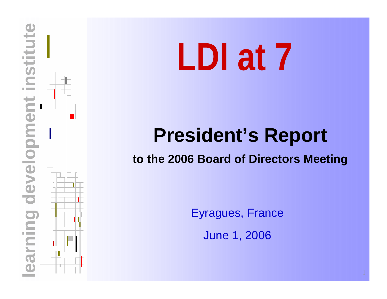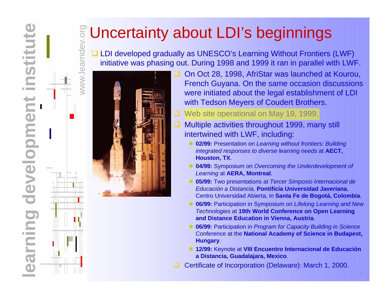## **E** Uncertainty about LDI's beginnings

**□ LDI developed gradually as UNESCO's Learning Without Frontiers (LWF)** initiative was phasing out. During 1998 and 1999 it ran in parallel with LWF.



- $\Box$  On Oct 28, 1998, AfriStar was launched at Kourou, French Guyana. On the same occasion discussions were initiated about the legal establishment of LDI with Tedson Meyers of Coudert Brothers.
	- Web site operational on May 19, 1999.
	- Multiple activities throughout 1999, many still intertwined with LWF, including:
		- **02/99:** Presentation on *Learning without frontiers: Building integrated responses to diverse learning needs* at **AECT, Houston, TX**.
		- **04/99:** Symposium on *Overcoming the Underdevelopment of Learning* at **AERA, Montreal**.
		- z **05/99:** Two presentations at *Tercer Simposio Internacional de Educación a Distancia,* **Pontificia Universidad Javeriana**, Centro Universidad Abierta, in **Santa Fe de Bogotá, Colombia**.
		- **06/99:** Participation in Symposium on *Lifelong Learning and New Technologies* at **19th World Conference on Open Learning and Distance Education in Vienna, Austria**.
		- **06/99:** Participation in *Program for Capacity Building in Science* Conference at the **National Academy of Science in Budapest, Hungary**.
		- **12/99:** Keynote at **VIII Encuentro Internacional de Educación a Distancia, Guadalajara, Mexico**.
- Certificate of Incorporation (Delaware): March 1, 2000.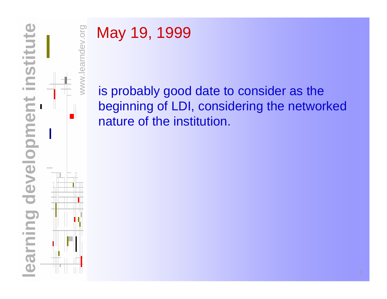



### May 19, 1999

is probably good date to consider as the beginning of LDI, considering the networked nature of the institution.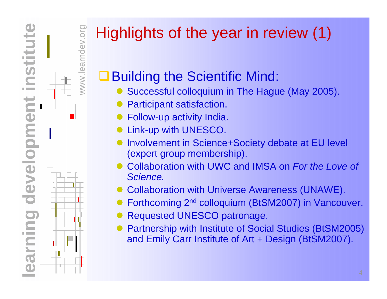**learning development institute nstitut** ng development inni

www.learndev.org

 $WW$ 

ev.org

# Highlights of the year in review (1)

### Building the Scientific Mind:

- Successful colloquium in The Hague (May 2005).
- $\bullet$ Participant satisfaction.
- $\bullet$ Follow-up activity India.
- $\bullet$ Link-up with UNESCO.
- $\bullet$  Involvement in Science+Society debate at EU level (expert group membership).
- $\bullet$  Collaboration with UWC and IMSA on *For the Love of Science.*
- $\bullet$ Collaboration with Universe Awareness (UNAWE).
- $\bullet$ Forthcoming 2nd colloquium (BtSM2007) in Vancouver.
- $\bullet$ Requested UNESCO patronage.
- $\bullet$  Partnership with Institute of Social Studies (BtSM2005) and Emily Carr Institute of Art + Design (BtSM2007).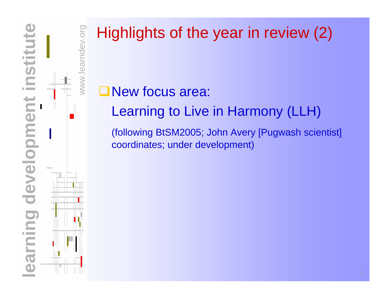

NWW.

mdev.org

# Highlights of the year in review (2)

#### **ONew focus area:**

Learning to Live in Harmony (LLH)

(following BtSM2005; John Avery [Pugwash scientist] coordinates; under development)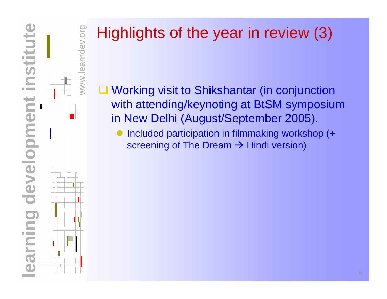

 $N$ WW.lea

mdev.org

# Highlights of the year in review (3)

- Working visit to Shikshantar (in conjunction with attending/keynoting at BtSM symposium in New Delhi (August/September 2005).
	- $\bullet$  Included participation in filmmaking workshop (+ screening of The Dream  $\rightarrow$  Hindi version)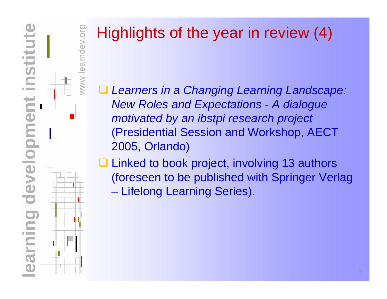

NWW

ev.org

# Highlights of the year in review (4)

 $\Box$  *Learners in a Changing Learning Landscape: New Roles and Expectations - A dialogue motivated by an ibstpi research project* (Presidential Session and Workshop, AECT 2005, Orlando)

**□ Linked to book project, involving 13 authors** (foreseen to be published with Springer Verlag  $\mathcal{L}_{\mathcal{A}}$ Lifelong Learning Series).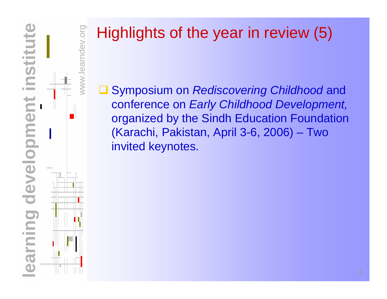

**NWW** 

ndev.org

# Highlights of the year in review (5)

 $\Box$  Symposium on *Rediscovering Childhood* and conference on *Early Childhood Development,*  organized by the Sindh Education Foundation (Karachi, Pakistan, April 3-6, 2006) – Two invited keynotes.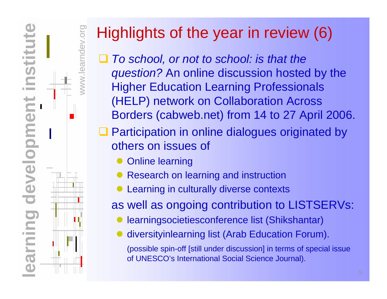**learning development institute** developme DO **College** E  $\overline{\Omega}$ 

www.learndev.org

# Highlights of the year in review (6)

- *To school, or not to school: is that the question?* An online discussion hosted by the Higher Education Learning Professionals (HELP) network on Collaboration Across Borders (cabweb.net) from 14 to 27 April 2006.
- □ Participation in online dialogues originated by others on issues of
	- $\bullet$ Online learning
	- $\bullet$ Research on learning and instruction
	- $\bullet$ Learning in culturally diverse contexts

as well as ongoing contribution to LISTSERVs:

- $\bullet$ learningsocietiesconference list (Shikshantar)
- $\bullet$ diversityinlearning list (Arab Education Forum).

(possible spin-off [still under discussion] in terms of special issue of UNESCO's International Social Science Journal).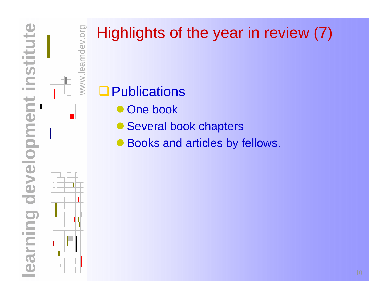

NWW.lea

mdev.org

# Highlights of the year in review (7)

#### **Q**Publications

- $\bullet$ One book
- $\bullet$ Several book chapters
- $\bullet$ Books and articles by fellows.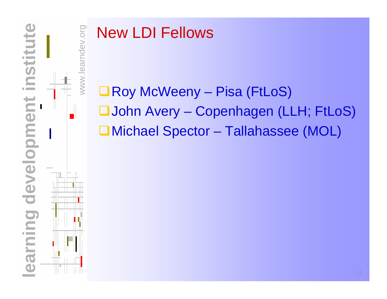

WWW.

mdev.org

#### New LDI Fellows

■Roy McWeeny – Pisa (FtLoS) John Avery – Copenhagen (LLH; FtLoS) Michael Spector – Tallahassee (MOL)